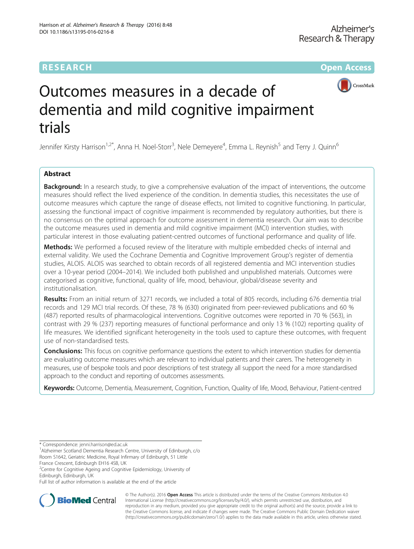# RESEARCH **RESEARCH CONSUMING THE CONSUMING THE CONSUMING THE CONSUMING TEAM Open Access**



# Outcomes measures in a decade of dementia and mild cognitive impairment trials

Jennifer Kirsty Harrison<sup>1,2\*</sup>, Anna H. Noel-Storr<sup>3</sup>, Nele Demeyere<sup>4</sup>, Emma L. Reynish<sup>5</sup> and Terry J. Quinn<sup>6</sup>

## Abstract

**Background:** In a research study, to give a comprehensive evaluation of the impact of interventions, the outcome measures should reflect the lived experience of the condition. In dementia studies, this necessitates the use of outcome measures which capture the range of disease effects, not limited to cognitive functioning. In particular, assessing the functional impact of cognitive impairment is recommended by regulatory authorities, but there is no consensus on the optimal approach for outcome assessment in dementia research. Our aim was to describe the outcome measures used in dementia and mild cognitive impairment (MCI) intervention studies, with particular interest in those evaluating patient-centred outcomes of functional performance and quality of life.

**Methods:** We performed a focused review of the literature with multiple embedded checks of internal and external validity. We used the Cochrane Dementia and Cognitive Improvement Group's register of dementia studies, ALOIS. ALOIS was searched to obtain records of all registered dementia and MCI intervention studies over a 10-year period (2004–2014). We included both published and unpublished materials. Outcomes were categorised as cognitive, functional, quality of life, mood, behaviour, global/disease severity and institutionalisation.

Results: From an initial return of 3271 records, we included a total of 805 records, including 676 dementia trial records and 129 MCI trial records. Of these, 78 % (630) originated from peer-reviewed publications and 60 % (487) reported results of pharmacological interventions. Cognitive outcomes were reported in 70 % (563), in contrast with 29 % (237) reporting measures of functional performance and only 13 % (102) reporting quality of life measures. We identified significant heterogeneity in the tools used to capture these outcomes, with frequent use of non-standardised tests.

**Conclusions:** This focus on cognitive performance questions the extent to which intervention studies for dementia are evaluating outcome measures which are relevant to individual patients and their carers. The heterogeneity in measures, use of bespoke tools and poor descriptions of test strategy all support the need for a more standardised approach to the conduct and reporting of outcomes assessments.

Keywords: Outcome, Dementia, Measurement, Cognition, Function, Quality of life, Mood, Behaviour, Patient-centred

\* Correspondence: [jenni.harrison@ed.ac.uk](mailto:jenni.harrison@ed.ac.uk) <sup>1</sup>

<sup>1</sup> Alzheimer Scotland Dementia Research Centre, University of Edinburgh, c/o Room S1642, Geriatric Medicine, Royal Infirmary of Edinburgh, 51 Little France Crescent, Edinburgh EH16 4SB, UK

<sup>2</sup>Centre for Cognitive Ageing and Cognitive Epidemiology, University of

Edinburgh, Edinburgh, UK

Full list of author information is available at the end of the article



© The Author(s). 2016 Open Access This article is distributed under the terms of the Creative Commons Attribution 4.0 International License [\(http://creativecommons.org/licenses/by/4.0/](http://creativecommons.org/licenses/by/4.0/)), which permits unrestricted use, distribution, and reproduction in any medium, provided you give appropriate credit to the original author(s) and the source, provide a link to the Creative Commons license, and indicate if changes were made. The Creative Commons Public Domain Dedication waiver [\(http://creativecommons.org/publicdomain/zero/1.0/](http://creativecommons.org/publicdomain/zero/1.0/)) applies to the data made available in this article, unless otherwise stated.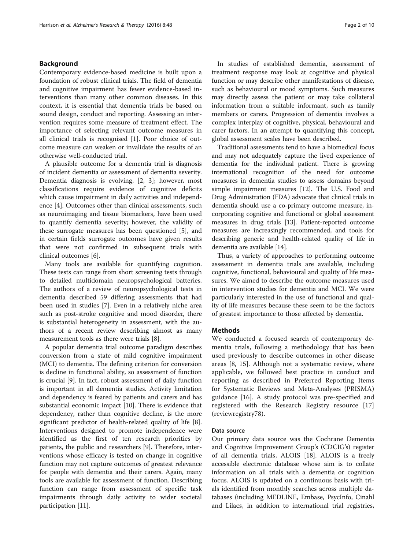## Background

Contemporary evidence-based medicine is built upon a foundation of robust clinical trials. The field of dementia and cognitive impairment has fewer evidence-based interventions than many other common diseases. In this context, it is essential that dementia trials be based on sound design, conduct and reporting. Assessing an intervention requires some measure of treatment effect. The importance of selecting relevant outcome measures in all clinical trials is recognised [\[1](#page-8-0)]. Poor choice of outcome measure can weaken or invalidate the results of an otherwise well-conducted trial.

A plausible outcome for a dementia trial is diagnosis of incident dementia or assessment of dementia severity. Dementia diagnosis is evolving, [\[2, 3](#page-8-0)]; however, most classifications require evidence of cognitive deficits which cause impairment in daily activities and independence [\[4](#page-8-0)]. Outcomes other than clinical assessments, such as neuroimaging and tissue biomarkers, have been used to quantify dementia severity; however, the validity of these surrogate measures has been questioned [[5\]](#page-8-0), and in certain fields surrogate outcomes have given results that were not confirmed in subsequent trials with clinical outcomes [\[6\]](#page-8-0).

Many tools are available for quantifying cognition. These tests can range from short screening tests through to detailed multidomain neuropsychological batteries. The authors of a review of neuropsychological tests in dementia described 59 differing assessments that had been used in studies [[7](#page-8-0)]. Even in a relatively niche area such as post-stroke cognitive and mood disorder, there is substantial heterogeneity in assessment, with the authors of a recent review describing almost as many measurement tools as there were trials [\[8](#page-9-0)].

A popular dementia trial outcome paradigm describes conversion from a state of mild cognitive impairment (MCI) to dementia. The defining criterion for conversion is decline in functional ability, so assessment of function is crucial [[9\]](#page-9-0). In fact, robust assessment of daily function is important in all dementia studies. Activity limitation and dependency is feared by patients and carers and has substantial economic impact [[10](#page-9-0)]. There is evidence that dependency, rather than cognitive decline, is the more significant predictor of health-related quality of life [\[8](#page-9-0)]. Interventions designed to promote independence were identified as the first of ten research priorities by patients, the public and researchers [\[9\]](#page-9-0). Therefore, interventions whose efficacy is tested on change in cognitive function may not capture outcomes of greatest relevance for people with dementia and their carers. Again, many tools are available for assessment of function. Describing function can range from assessment of specific task impairments through daily activity to wider societal participation [[11](#page-9-0)].

In studies of established dementia, assessment of treatment response may look at cognitive and physical function or may describe other manifestations of disease, such as behavioural or mood symptoms. Such measures may directly assess the patient or may take collateral information from a suitable informant, such as family members or carers. Progression of dementia involves a complex interplay of cognitive, physical, behavioural and carer factors. In an attempt to quantifying this concept, global assessment scales have been described.

Traditional assessments tend to have a biomedical focus and may not adequately capture the lived experience of dementia for the individual patient. There is growing international recognition of the need for outcome measures in dementia studies to assess domains beyond simple impairment measures [[12](#page-9-0)]. The U.S. Food and Drug Administration (FDA) advocate that clinical trials in dementia should use a co-primary outcome measure, incorporating cognitive and functional or global assessment measures in drug trials [\[13](#page-9-0)]. Patient-reported outcome measures are increasingly recommended, and tools for describing generic and health-related quality of life in dementia are available [[14\]](#page-9-0).

Thus, a variety of approaches to performing outcome assessment in dementia trials are available, including cognitive, functional, behavioural and quality of life measures. We aimed to describe the outcome measures used in intervention studies for dementia and MCI. We were particularly interested in the use of functional and quality of life measures because these seem to be the factors of greatest importance to those affected by dementia.

## **Methods**

We conducted a focused search of contemporary dementia trials, following a methodology that has been used previously to describe outcomes in other disease areas [\[8](#page-9-0), [15](#page-9-0)]. Although not a systematic review, where applicable, we followed best practice in conduct and reporting as described in Preferred Reporting Items for Systematic Reviews and Meta-Analyses (PRISMA) guidance [\[16](#page-9-0)]. A study protocol was pre-specified and registered with the Research Registry resource [\[17](#page-9-0)] (reviewregistry78).

## Data source

Our primary data source was the Cochrane Dementia and Cognitive Improvement Group's (CDCIG's) register of all dementia trials, ALOIS [[18](#page-9-0)]. ALOIS is a freely accessible electronic database whose aim is to collate information on all trials with a dementia or cognition focus. ALOIS is updated on a continuous basis with trials identified from monthly searches across multiple databases (including MEDLINE, Embase, PsycInfo, Cinahl and Lilacs, in addition to international trial registries,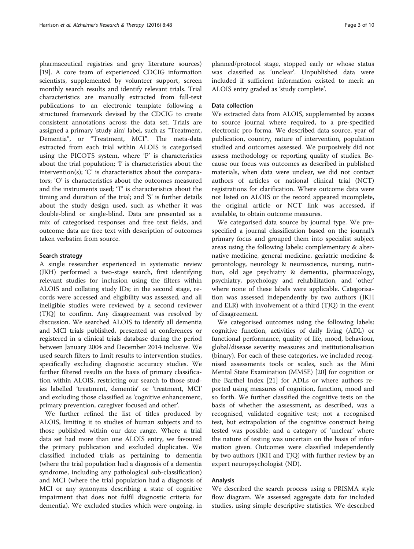pharmaceutical registries and grey literature sources) [[19\]](#page-9-0). A core team of experienced CDCIG information scientists, supplemented by volunteer support, screen monthly search results and identify relevant trials. Trial characteristics are manually extracted from full-text publications to an electronic template following a structured framework devised by the CDCIG to create consistent annotations across the data set. Trials are assigned a primary 'study aim' label, such as "Treatment, Dementia", or "Treatment, MCI". The meta-data extracted from each trial within ALOIS is categorised using the PICOTS system, where 'P' is characteristics about the trial population; 'I' is characteristics about the intervention(s); 'C' is characteristics about the comparators; 'O' is characteristics about the outcomes measured and the instruments used; 'T' is characteristics about the timing and duration of the trial; and 'S' is further details about the study design used, such as whether it was double-blind or single-blind. Data are presented as a mix of categorised responses and free text fields, and outcome data are free text with description of outcomes taken verbatim from source.

#### Search strategy

A single researcher experienced in systematic review (JKH) performed a two-stage search, first identifying relevant studies for inclusion using the filters within ALOIS and collating study IDs; in the second stage, records were accessed and eligibility was assessed, and all ineligible studies were reviewed by a second reviewer (TJQ) to confirm. Any disagreement was resolved by discussion. We searched ALOIS to identify all dementia and MCI trials published, presented at conferences or registered in a clinical trials database during the period between January 2004 and December 2014 inclusive. We used search filters to limit results to intervention studies, specifically excluding diagnostic accuracy studies. We further filtered results on the basis of primary classification within ALOIS, restricting our search to those studies labelled 'treatment, dementia' or 'treatment, MCI' and excluding those classified as 'cognitive enhancement, primary prevention, caregiver focused and other'.

We further refined the list of titles produced by ALOIS, limiting it to studies of human subjects and to those published within our date range. Where a trial data set had more than one ALOIS entry, we favoured the primary publication and excluded duplicates. We classified included trials as pertaining to dementia (where the trial population had a diagnosis of a dementia syndrome, including any pathological sub-classification) and MCI (where the trial population had a diagnosis of MCI or any synonyms describing a state of cognitive impairment that does not fulfil diagnostic criteria for dementia). We excluded studies which were ongoing, in planned/protocol stage, stopped early or whose status was classified as 'unclear'. Unpublished data were included if sufficient information existed to merit an ALOIS entry graded as 'study complete'.

### Data collection

We extracted data from ALOIS, supplemented by access to source journal where required, to a pre-specified electronic pro forma. We described data source, year of publication, country, nature of intervention, population studied and outcomes assessed. We purposively did not assess methodology or reporting quality of studies. Because our focus was outcomes as described in published materials, when data were unclear, we did not contact authors of articles or national clinical trial (NCT) registrations for clarification. Where outcome data were not listed on ALOIS or the record appeared incomplete, the original article or NCT link was accessed, if available, to obtain outcome measures.

We categorised data source by journal type. We prespecified a journal classification based on the journal's primary focus and grouped them into specialist subject areas using the following labels: complementary & alternative medicine, general medicine, geriatric medicine & gerontology, neurology & neuroscience, nursing, nutrition, old age psychiatry & dementia, pharmacology, psychiatry, psychology and rehabilitation, and 'other' where none of these labels were applicable. Categorisation was assessed independently by two authors (JKH and ELR) with involvement of a third (TJQ) in the event of disagreement.

We categorised outcomes using the following labels: cognitive function, activities of daily living (ADL) or functional performance, quality of life, mood, behaviour, global/disease severity measures and institutionalisation (binary). For each of these categories, we included recognised assessments tools or scales, such as the Mini Mental State Examination (MMSE) [[20\]](#page-9-0) for cognition or the Barthel Index [\[21\]](#page-9-0) for ADLs or where authors reported using measures of cognition, function, mood and so forth. We further classified the cognitive tests on the basis of whether the assessment, as described, was a recognised, validated cognitive test; not a recognised test, but extrapolation of the cognitive construct being tested was possible; and a category of 'unclear' where the nature of testing was uncertain on the basis of information given. Outcomes were classified independently by two authors (JKH and TJQ) with further review by an expert neuropsychologist (ND).

#### Analysis

We described the search process using a PRISMA style flow diagram. We assessed aggregate data for included studies, using simple descriptive statistics. We described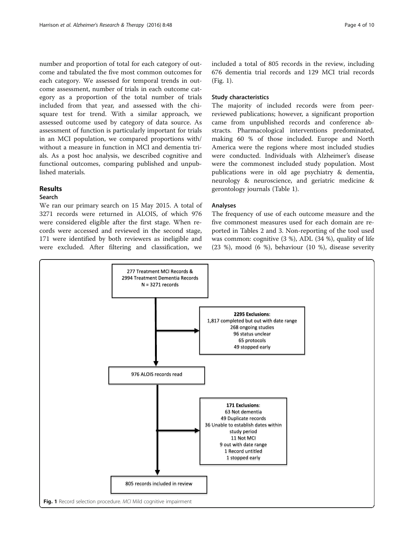number and proportion of total for each category of outcome and tabulated the five most common outcomes for each category. We assessed for temporal trends in outcome assessment, number of trials in each outcome category as a proportion of the total number of trials included from that year, and assessed with the chisquare test for trend. With a similar approach, we assessed outcome used by category of data source. As assessment of function is particularly important for trials in an MCI population, we compared proportions with/ without a measure in function in MCI and dementia trials. As a post hoc analysis, we described cognitive and functional outcomes, comparing published and unpublished materials.

## Results

## Search

We ran our primary search on 15 May 2015. A total of 3271 records were returned in ALOIS, of which 976 were considered eligible after the first stage. When records were accessed and reviewed in the second stage, 171 were identified by both reviewers as ineligible and were excluded. After filtering and classification, we

included a total of 805 records in the review, including 676 dementia trial records and 129 MCI trial records (Fig. 1).

## Study characteristics

The majority of included records were from peerreviewed publications; however, a significant proportion came from unpublished records and conference abstracts. Pharmacological interventions predominated, making 60 % of those included. Europe and North America were the regions where most included studies were conducted. Individuals with Alzheimer's disease were the commonest included study population. Most publications were in old age psychiatry & dementia, neurology & neuroscience, and geriatric medicine & gerontology journals (Table [1\)](#page-4-0).

## Analyses

The frequency of use of each outcome measure and the five commonest measures used for each domain are reported in Tables [2](#page-5-0) and [3.](#page-5-0) Non-reporting of the tool used was common: cognitive (3 %), ADL (34 %), quality of life (23 %), mood (6 %), behaviour (10 %), disease severity

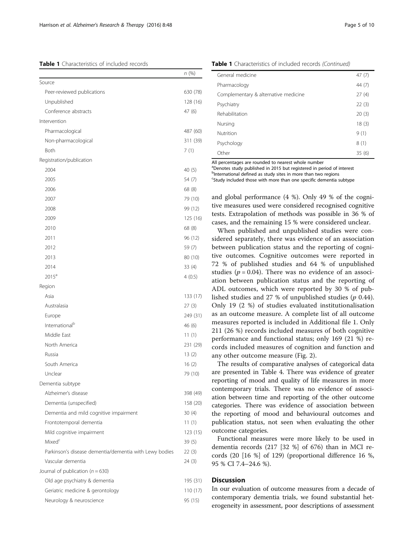#### <span id="page-4-0"></span>Table 1 Characteristics of included records

|                                                        | n(%)     |
|--------------------------------------------------------|----------|
| Source                                                 |          |
| Peer-reviewed publications                             | 630 (78) |
| Unpublished                                            | 128 (16) |
| Conference abstracts                                   | 47(6)    |
| Intervention                                           |          |
| Pharmacological                                        | 487 (60) |
| Non-pharmacological                                    | 311 (39) |
| Both                                                   | 7(1)     |
| Registration/publication                               |          |
| 2004                                                   | 40 (5)   |
| 2005                                                   | 54 (7)   |
| 2006                                                   | 68 (8)   |
| 2007                                                   | 79 (10)  |
| 2008                                                   | 99 (12)  |
| 2009                                                   | 125 (16) |
| 2010                                                   | 68 (8)   |
| 2011                                                   | 96 (12)  |
| 2012                                                   | 59 (7)   |
| 2013                                                   | 80 (10)  |
| 2014                                                   | 33 (4)   |
| 2015 <sup>a</sup>                                      | 4(0.5)   |
| Region                                                 |          |
| Asia                                                   | 133 (17) |
| Australasia                                            | 27 (3)   |
| Europe                                                 | 249 (31) |
| International <sup>b</sup>                             | 46 (6)   |
| Middle East                                            | 11(1)    |
| North America                                          | 231 (29) |
| Russia                                                 | 13(2)    |
| South America                                          | 16(2)    |
| Unclear                                                | 79 (10)  |
| Dementia subtype                                       |          |
| Alzheimer's disease                                    | 398 (49) |
| Dementia (unspecified)                                 | 158 (20) |
| Dementia and mild cognitive impairment                 | 30 (4)   |
| Frontotemporal dementia                                | 11 $(1)$ |
| Mild cognitive impairment                              | 123 (15) |
| Mixed <sup>c</sup>                                     | 39(5)    |
| Parkinson's disease dementia/dementia with Lewy bodies | 22 (3)   |
| Vascular dementia                                      | 24 (3)   |
| Journal of publication ( $n = 630$ )                   |          |
| Old age psychiatry & dementia                          | 195 (31) |
| Geriatric medicine & gerontology                       | 110 (17) |
| Neurology & neuroscience                               | 95 (15)  |
|                                                        |          |

Table 1 Characteristics of included records (Continued)

| General medicine                     | 47(7)  |
|--------------------------------------|--------|
| Pharmacology                         | 44 (7) |
| Complementary & alternative medicine | 27(4)  |
| Psychiatry                           | 22(3)  |
| Rehabilitation                       | 20(3)  |
| Nursing                              | 18(3)  |
| Nutrition                            | 9(1)   |
| Psychology                           | 8(1)   |
| ∩ther                                | 35(6)  |
|                                      |        |

All percentages are rounded to nearest whole number

<sup>a</sup>Denotes study published in 2015 but registered in period of interest <sup>b</sup>International defined as study sites in more than two regions <sup>c</sup>Study included those with more than one specific dementia subtype

and global performance (4 %). Only 49 % of the cognitive measures used were considered recognised cognitive tests. Extrapolation of methods was possible in 36 % of cases, and the remaining 15 % were considered unclear.

When published and unpublished studies were considered separately, there was evidence of an association between publication status and the reporting of cognitive outcomes. Cognitive outcomes were reported in 72 % of published studies and 64 % of unpublished studies ( $p = 0.04$ ). There was no evidence of an association between publication status and the reporting of ADL outcomes, which were reported by 30 % of published studies and 27 % of unpublished studies (p 0.44). Only 19 (2 %) of studies evaluated institutionalisation as an outcome measure. A complete list of all outcome measures reported is included in Additional file [1.](#page-8-0) Only 211 (26 %) records included measures of both cognitive performance and functional status; only 169 (21 %) records included measures of cognition and function and any other outcome measure (Fig. [2](#page-6-0)).

The results of comparative analyses of categorical data are presented in Table [4.](#page-6-0) There was evidence of greater reporting of mood and quality of life measures in more contemporary trials. There was no evidence of association between time and reporting of the other outcome categories. There was evidence of association between the reporting of mood and behavioural outcomes and publication status, not seen when evaluating the other outcome categories.

Functional measures were more likely to be used in dementia records (217 [32 %] of 676) than in MCI records (20 [16 %] of 129) (proportional difference 16 %, 95 % CI 7.4–24.6 %).

## **Discussion**

In our evaluation of outcome measures from a decade of contemporary dementia trials, we found substantial heterogeneity in assessment, poor descriptions of assessment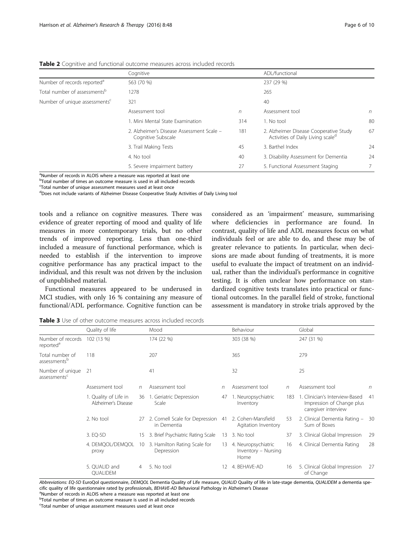|                                           | Cognitive                                                       |     | ADL/functional                                                                          |    |  |
|-------------------------------------------|-----------------------------------------------------------------|-----|-----------------------------------------------------------------------------------------|----|--|
| Number of records reported <sup>a</sup>   | 563 (70 %)                                                      |     | 237 (29 %)                                                                              |    |  |
| Total number of assessments <sup>b</sup>  | 1278                                                            |     | 265                                                                                     |    |  |
| Number of unique assessments <sup>c</sup> | 321                                                             |     | 40                                                                                      |    |  |
|                                           | Assessment tool                                                 | n   | Assessment tool                                                                         | n  |  |
|                                           | 1. Mini Mental State Examination                                | 314 | 1. No tool                                                                              | 80 |  |
|                                           | 2. Alzheimer's Disease Assessment Scale -<br>Cognitive Subscale | 181 | 2. Alzheimer Disease Cooperative Study<br>Activities of Daily Living scale <sup>d</sup> | 67 |  |
|                                           | 3. Trail Making Tests                                           | 45  | 3. Barthel Index                                                                        | 24 |  |
|                                           | 4. No tool                                                      | 40  | 3. Disability Assessment for Dementia                                                   | 24 |  |
|                                           | 5. Severe impairment battery                                    | 27  | 5. Functional Assessment Staging                                                        |    |  |

<span id="page-5-0"></span>Table 2 Cognitive and functional outcome measures across included records

<sup>a</sup>Number of records in ALOIS where a measure was reported at least one

<sup>b</sup>Total number of times an outcome measure is used in all included records

<sup>c</sup>Total number of unique assessment measures used at least once

<sup>d</sup>Does not include variants of Alzheimer Disease Cooperative Study Activities of Daily Living tool

tools and a reliance on cognitive measures. There was evidence of greater reporting of mood and quality of life measures in more contemporary trials, but no other trends of improved reporting. Less than one-third included a measure of functional performance, which is needed to establish if the intervention to improve cognitive performance has any practical impact to the individual, and this result was not driven by the inclusion of unpublished material.

Functional measures appeared to be underused in MCI studies, with only 16 % containing any measure of functional/ADL performance. Cognitive function can be

considered as an 'impairment' measure, summarising where deficiencies in performance are found. In contrast, quality of life and ADL measures focus on what individuals feel or are able to do, and these may be of greater relevance to patients. In particular, when decisions are made about funding of treatments, it is more useful to evaluate the impact of treatment on an individual, rather than the individual's performance in cognitive testing. It is often unclear how performance on standardized cognitive tests translates into practical or functional outcomes. In the parallel field of stroke, functional assessment is mandatory in stroke trials approved by the

Table 3 Use of other outcome measures across included records

|                                                       | Quality of life                              |    | Mood                                           |     | Behaviour                                          |            | Global                                                                             |     |
|-------------------------------------------------------|----------------------------------------------|----|------------------------------------------------|-----|----------------------------------------------------|------------|------------------------------------------------------------------------------------|-----|
| Number of records 102 (13 %)<br>reported <sup>®</sup> |                                              |    | 174 (22 %)                                     |     | 303 (38 %)                                         |            | 247 (31 %)                                                                         |     |
| Total number of<br>assessmentsb                       | 118                                          |    | 207                                            |     | 365                                                |            | 279                                                                                |     |
| Number of unique<br>assessments <sup>c</sup>          | -21                                          |    | 41                                             |     | 32                                                 |            | 25                                                                                 |     |
|                                                       | Assessment tool                              | n  | Assessment tool                                |     | Assessment tool                                    | $\sqrt{n}$ | Assessment tool                                                                    | n   |
|                                                       | 1. Quality of Life in<br>Alzheimer's Disease | 36 | 1. Geriatric Depression<br>Scale               | 47  | 1. Neuropsychiatric<br>Inventory                   | 183        | 1. Clinician's Interview-Based<br>Impression of Change plus<br>caregiver interview | -41 |
|                                                       | 2. No tool                                   |    | 2. Cornell Scale for Depression<br>in Dementia | -41 | 2. Cohen-Mansfield<br>Agitation Inventory          | 53         | 2. Clinical Dementia Rating -<br>Sum of Boxes                                      | 30  |
|                                                       | 3. EQ-5D                                     | 15 | 3. Brief Psychiatric Rating Scale              | 13  | 3. No tool                                         | 37         | 3. Clinical Global Impression                                                      | 29  |
|                                                       | 4. DEMQOL/DEMQOL<br>proxy                    | 10 | 3. Hamilton Rating Scale for<br>Depression     | 13  | 4. Neuropsychiatric<br>Inventory - Nursing<br>Home | 16         | 4. Clinical Dementia Rating                                                        | 28  |
|                                                       | 5. QUALID and<br>QUALIDEM                    | 4  | 5. No tool                                     | 12  | 4. BEHAVE-AD                                       | 16         | 5. Clinical Global Impression<br>of Change                                         | 27  |

Abbreviations: EQ-5D EuroQol questionnaire, DEMQOL Dementia Quality of Life measure, QUALID Quality of life in late-stage dementia, QUALIDEM a dementia specific quality of life questionnaire rated by professionals, BEHAVE-AD Behavioral Pathology in Alzheimer's Disease

<sup>a</sup>Number of records in ALOIS where a measure was reported at least one

<sup>b</sup>Total number of times an outcome measure is used in all included records

<sup>c</sup>Total number of unique assessment measures used at least once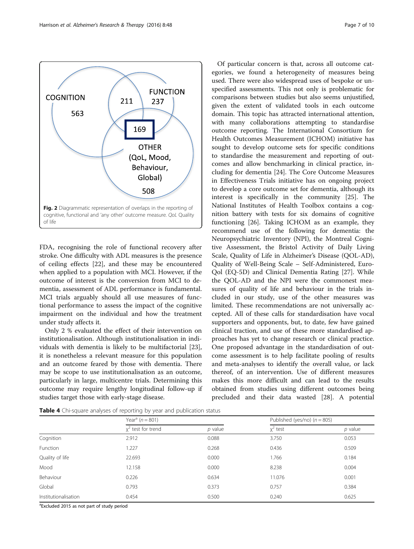FDA, recognising the role of functional recovery after stroke. One difficulty with ADL measures is the presence of ceiling effects [[22\]](#page-9-0), and these may be encountered when applied to a population with MCI. However, if the outcome of interest is the conversion from MCI to dementia, assessment of ADL performance is fundamental. MCI trials arguably should all use measures of functional performance to assess the impact of the cognitive impairment on the individual and how the treatment under study affects it.

Only 2 % evaluated the effect of their intervention on institutionalisation. Although institutionalisation in individuals with dementia is likely to be multifactorial [\[23](#page-9-0)], it is nonetheless a relevant measure for this population and an outcome feared by those with dementia. There may be scope to use institutionalisation as an outcome, particularly in large, multicentre trials. Determining this outcome may require lengthy longitudinal follow-up if studies target those with early-stage disease.

Of particular concern is that, across all outcome categories, we found a heterogeneity of measures being used. There were also widespread uses of bespoke or unspecified assessments. This not only is problematic for comparisons between studies but also seems unjustified, given the extent of validated tools in each outcome domain. This topic has attracted international attention, with many collaborations attempting to standardise outcome reporting. The International Consortium for Health Outcomes Measurement (ICHOM) initiative has sought to develop outcome sets for specific conditions to standardise the measurement and reporting of outcomes and allow benchmarking in clinical practice, including for dementia [\[24](#page-9-0)]. The Core Outcome Measures in Effectiveness Trials initiative has on ongoing project to develop a core outcome set for dementia, although its interest is specifically in the community [\[25\]](#page-9-0). The National Institutes of Health Toolbox contains a cognition battery with tests for six domains of cognitive functioning [[26\]](#page-9-0). Taking ICHOM as an example, they recommend use of the following for dementia: the Neuropsychiatric Inventory (NPI), the Montreal Cognitive Assessment, the Bristol Activity of Daily Living Scale, Quality of Life in Alzheimer's Disease (QOL-AD), Quality of Well-Being Scale – Self-Administered, Euro-Qol (EQ-5D) and Clinical Dementia Rating [[27\]](#page-9-0). While the QOL-AD and the NPI were the commonest measures of quality of life and behaviour in the trials included in our study, use of the other measures was limited. These recommendations are not universally accepted. All of these calls for standardisation have vocal supporters and opponents, but, to date, few have gained clinical traction, and use of these more standardised approaches has yet to change research or clinical practice. One proposed advantage in the standardisation of outcome assessment is to help facilitate pooling of results and meta-analyses to identify the overall value, or lack thereof, of an intervention. Use of different measures makes this more difficult and can lead to the results obtained from studies using different outcomes being precluded and their data wasted [\[28](#page-9-0)]. A potential

Table 4 Chi-square analyses of reporting by year and publication status

|                      | Year <sup>a</sup> ( $n = 801$ ) |           | Published (yes/no) $(n = 805)$ |           |  |
|----------------------|---------------------------------|-----------|--------------------------------|-----------|--|
|                      | $x^2$ test for trend            | $p$ value | $x^2$ test                     | $p$ value |  |
| Cognition            | 2.912                           | 0.088     | 3.750                          | 0.053     |  |
| Function             | 1.227                           | 0.268     | 0.436                          | 0.509     |  |
| Quality of life      | 22.693                          | 0.000     | 1.766                          | 0.184     |  |
| Mood                 | 12.158                          | 0.000     | 8.238                          | 0.004     |  |
| Behaviour            | 0.226                           | 0.634     | 11.076                         | 0.001     |  |
| Global               | 0.793                           | 0.373     | 0.757                          | 0.384     |  |
| Institutionalisation | 0.454                           | 0.500     | 0.240                          | 0.625     |  |

<sup>a</sup> Excluded 2015 as not part of study period

<span id="page-6-0"></span>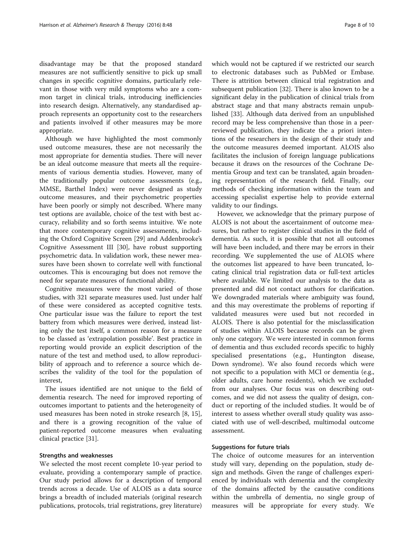disadvantage may be that the proposed standard measures are not sufficiently sensitive to pick up small changes in specific cognitive domains, particularly relevant in those with very mild symptoms who are a common target in clinical trials, introducing inefficiencies into research design. Alternatively, any standardised approach represents an opportunity cost to the researchers and patients involved if other measures may be more appropriate.

Although we have highlighted the most commonly used outcome measures, these are not necessarily the most appropriate for dementia studies. There will never be an ideal outcome measure that meets all the requirements of various dementia studies. However, many of the traditionally popular outcome assessments (e.g., MMSE, Barthel Index) were never designed as study outcome measures, and their psychometric properties have been poorly or simply not described. Where many test options are available, choice of the test with best accuracy, reliability and so forth seems intuitive. We note that more contemporary cognitive assessments, including the Oxford Cognitive Screen [[29\]](#page-9-0) and Addenbrooke's Cognitive Assessment III [\[30](#page-9-0)], have robust supporting psychometric data. In validation work, these newer measures have been shown to correlate well with functional outcomes. This is encouraging but does not remove the need for separate measures of functional ability.

Cognitive measures were the most varied of those studies, with 321 separate measures used. Just under half of these were considered as accepted cognitive tests. One particular issue was the failure to report the test battery from which measures were derived, instead listing only the test itself, a common reason for a measure to be classed as 'extrapolation possible'. Best practice in reporting would provide an explicit description of the nature of the test and method used, to allow reproducibility of approach and to reference a source which describes the validity of the tool for the population of interest,

The issues identified are not unique to the field of dementia research. The need for improved reporting of outcomes important to patients and the heterogeneity of used measures has been noted in stroke research [\[8](#page-9-0), [15](#page-9-0)], and there is a growing recognition of the value of patient-reported outcome measures when evaluating clinical practice [[31\]](#page-9-0).

#### Strengths and weaknesses

We selected the most recent complete 10-year period to evaluate, providing a contemporary sample of practice. Our study period allows for a description of temporal trends across a decade. Use of ALOIS as a data source brings a breadth of included materials (original research publications, protocols, trial registrations, grey literature) which would not be captured if we restricted our search to electronic databases such as PubMed or Embase. There is attrition between clinical trial registration and subsequent publication [[32\]](#page-9-0). There is also known to be a significant delay in the publication of clinical trials from abstract stage and that many abstracts remain unpublished [\[33](#page-9-0)]. Although data derived from an unpublished record may be less comprehensive than those in a peerreviewed publication, they indicate the a priori intentions of the researchers in the design of their study and the outcome measures deemed important. ALOIS also facilitates the inclusion of foreign language publications because it draws on the resources of the Cochrane Dementia Group and text can be translated, again broadening representation of the research field. Finally, our methods of checking information within the team and accessing specialist expertise help to provide external validity to our findings.

However, we acknowledge that the primary purpose of ALOIS is not about the ascertainment of outcome measures, but rather to register clinical studies in the field of dementia. As such, it is possible that not all outcomes will have been included, and there may be errors in their recording. We supplemented the use of ALOIS where the outcomes list appeared to have been truncated, locating clinical trial registration data or full-text articles where available. We limited our analysis to the data as presented and did not contact authors for clarification. We downgraded materials where ambiguity was found, and this may overestimate the problems of reporting if validated measures were used but not recorded in ALOIS. There is also potential for the misclassification of studies within ALOIS because records can be given only one category. We were interested in common forms of dementia and thus excluded records specific to highly specialised presentations (e.g., Huntington disease, Down syndrome). We also found records which were not specific to a population with MCI or dementia (e.g., older adults, care home residents), which we excluded from our analyses. Our focus was on describing outcomes, and we did not assess the quality of design, conduct or reporting of the included studies. It would be of interest to assess whether overall study quality was associated with use of well-described, multimodal outcome assessment.

### Suggestions for future trials

The choice of outcome measures for an intervention study will vary, depending on the population, study design and methods. Given the range of challenges experienced by individuals with dementia and the complexity of the domains affected by the causative conditions within the umbrella of dementia, no single group of measures will be appropriate for every study. We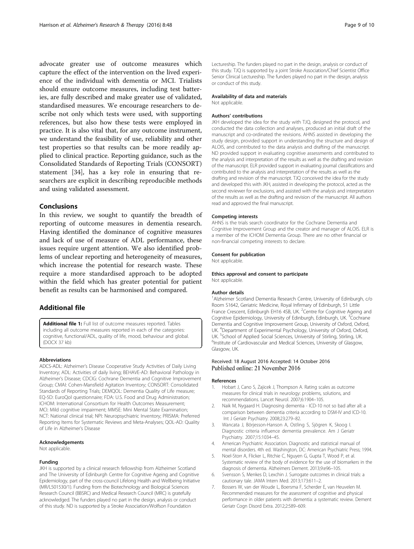<span id="page-8-0"></span>advocate greater use of outcome measures which capture the effect of the intervention on the lived experience of the individual with dementia or MCI. Trialists should ensure outcome measures, including test batteries, are fully described and make greater use of validated, standardised measures. We encourage researchers to describe not only which tests were used, with supporting references, but also how these tests were employed in practice. It is also vital that, for any outcome instrument, we understand the feasibility of use, reliability and other test properties so that results can be more readily applied to clinical practice. Reporting guidance, such as the Consolidated Standards of Reporting Trials (CONSORT) statement [\[34](#page-9-0)], has a key role in ensuring that researchers are explicit in describing reproducible methods and using validated assessment.

## Conclusions

In this review, we sought to quantify the breadth of reporting of outcome measures in dementia research. Having identified the dominance of cognitive measures and lack of use of measure of ADL performance, these issues require urgent attention. We also identified problems of unclear reporting and heterogeneity of measures, which increase the potential for research waste. These require a more standardised approach to be adopted within the field which has greater potential for patient benefit as results can be harmonised and compared.

## Additional file

[Additional file 1:](dx.doi.org/10.1186/s13195-016-0216-8) Full list of outcome measures reported. Tables including all outcome measures reported in each of the categories: cognitive, functional/ADL, quality of life, mood, behaviour and global. (DOCX 37 kb)

#### Abbreviations

ADCS-ADL: Alzheimer's Disease Cooperative Study Activities of Daily Living Inventory; ADL: Activities of daily living; BEHAVE-AD: Behavioral Pathology in Alzheimer's Disease; CDCIG: Cochrane Dementia and Cognitive Improvement Group; CMAI: Cohen-Mansfield Agitation Inventory; CONSORT: Consolidated Standards of Reporting Trials; DEMQOL: Dementia Quality of Life measure; EQ-5D: EuroQol questionnaire; FDA: U.S. Food and Drug Administration; ICHOM: International Consortium for Health Outcomes Measurement; MCI: Mild cognitive impairment; MMSE: Mini Mental State Examination; NCT: National clinical trial; NPI: Neuropsychiatric Inventory; PRISMA: Preferred Reporting Items for Systematic Reviews and Meta-Analyses; QOL-AD: Quality of Life in Alzheimer's Disease

## Acknowledgements

Not applicable.

#### Funding

JKH is supported by a clinical research fellowship from Alzheimer Scotland and The University of Edinburgh Centre for Cognitive Ageing and Cognitive Epidemiology, part of the cross-council Lifelong Health and Wellbeing Initiative (MR/L501530/1). Funding from the Biotechnology and Biological Sciences Research Council (BBSRC) and Medical Research Council (MRC) is gratefully acknowledged. The funders played no part in the design, analysis or conduct of this study. ND is supported by a Stroke Association/Wolfson Foundation

Lectureship. The funders played no part in the design, analysis or conduct of this study. TJQ is supported by a joint Stroke Association/Chief Scientist Office Senior Clinical Lectureship. The funders played no part in the design, analysis or conduct of this study.

#### Availability of data and materials

Not applicable.

#### Authors' contributions

JKH developed the idea for the study with TJQ, designed the protocol, and conducted the data collection and analyses, produced an initial draft of the manuscript and co-ordinated the revisions. AHNS assisted in developing the study design, provided support in understanding the structure and design of ALOIS, and contributed to the data analysis and drafting of the manuscript. ND provided support in evaluating cognitive assessments and contributed to the analysis and interpretation of the results as well as the drafting and revision of the manuscript. ELR provided support in evaluating journal classifications and contributed to the analysis and interpretation of the results as well as the drafting and revision of the manuscript. TJQ conceived the idea for the study and developed this with JKH, assisted in developing the protocol, acted as the second reviewer for exclusions, and assisted with the analysis and interpretation of the results as well as the drafting and revision of the manuscript. All authors read and approved the final manuscript.

#### Competing interests

AHNS is the trials search coordinator for the Cochrane Dementia and Cognitive Improvement Group and the creator and manager of ALOIS. ELR is a member of the ICHOM Dementia Group. There are no other financial or non-financial competing interests to declare.

#### Consent for publication

Not applicable.

#### Ethics approval and consent to participate Not applicable.

#### Author details

<sup>1</sup> Alzheimer Scotland Dementia Research Centre, University of Edinburgh, c/c Room S1642, Geriatric Medicine, Royal Infirmary of Edinburgh, 51 Little France Crescent, Edinburgh EH16 4SB, UK. <sup>2</sup>Centre for Cognitive Ageing and Cognitive Epidemiology, University of Edinburgh, Edinburgh, UK. <sup>3</sup>Cochrane Dementia and Cognitive Improvement Group, University of Oxford, Oxford, UK. <sup>4</sup> Department of Experimental Psychology, University of Oxford, Oxford, UK. <sup>5</sup> School of Applied Social Sciences, University of Stirling, Stirling, UK. <sup>6</sup> Institute of Cardiovascular and Modical Sciences, University of Glasgow <sup>6</sup>Institute of Cardiovascular and Medical Sciences, University of Glasgow, Glasgow, UK.

#### Received: 18 August 2016 Accepted: 14 October 2016 Published online: 21 November 2016

#### References

- 1. Hobart J, Cano S, Zajicek J, Thompson A. Rating scales as outcome measures for clinical trials in neurology: problems, solutions, and recommendations. Lancet Neurol. 2007;6:1904–105.
- Naik M, Nygaard H. Diagnosing dementia ICD-10 not so bad after all: a comparison between dementia criteria according to DSM-IV and ICD-10. Int J Geriatr Psychiatry. 2008;23:279-82.
- 3. Wancata J, Börjesson-Hanson A, Ostling S, Sjögren K, Skoog I. Diagnostic criteria influence dementia prevalence. Am J Geriatr Psychiatry. 2007;15:1034–45.
- 4. American Psychiatric Association. Diagnostic and statistical manual of mental disorders. 4th ed. Washington, DC: American Psychiatric Press; 1994.
- 5. Noel-Storr A, Flicker L, Ritchie C, Nguyen G, Gupta T, Wood P, et al. Systematic review of the body of evidence for the use of biomarkers in the diagnosis of dementia. Alzheimers Dement. 2013;9:e96–105.
- 6. Svensson S, Menkes D, Lexchin J. Surrogate outcomes in clinical trials: a cautionary tale. JAMA Intern Med. 2013;173:611–2.
- 7. Bossers W, van der Woude L, Boersma F, Scherder E, van Heuvelen M. Recommended measures for the assessment of cognitive and physical performance in older patients with dementia: a systematic review. Dement Geriatr Cogn Disord Extra. 2012;2:589–609.